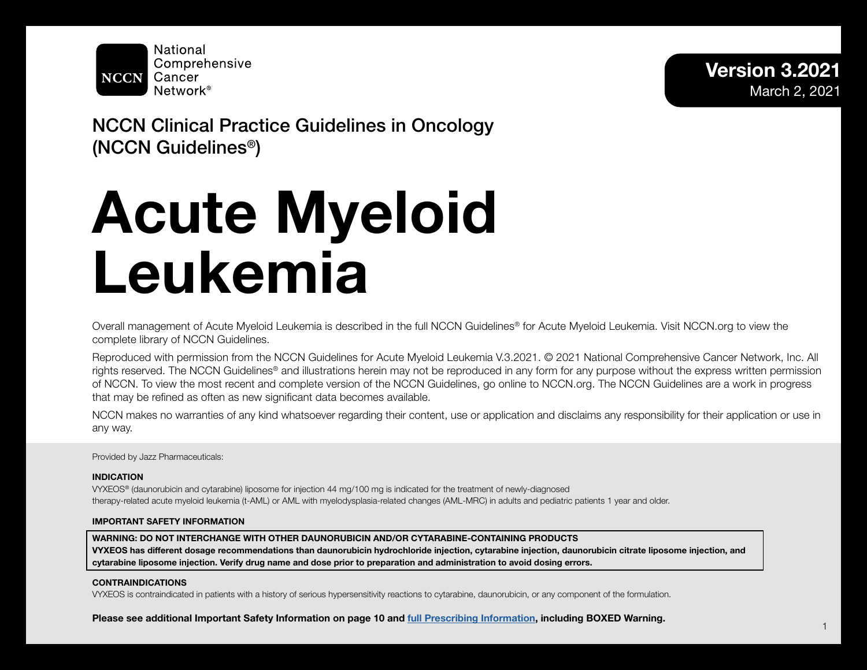

# NCCN Clinical Practice Guidelines in Oncology (NCCN Guidelines®)

# Acute Myeloid Leukemia

Overall management of Acute Myeloid Leukemia is described in the full NCCN Guidelines® for Acute Myeloid Leukemia. Visit NCCN.org to view the complete library of NCCN Guidelines.

Reproduced with permission from the NCCN Guidelines for Acute Myeloid Leukemia V.3.2021. © 2021 National Comprehensive Cancer Network, Inc. All rights reserved. The NCCN Guidelines<sup>®</sup> and illustrations herein may not be reproduced in any form for any purpose without the express written permission of NCCN. To view the most recent and complete version of the NCCN Guidelines, go online to NCCN.org. The NCCN Guidelines are a work in progress that may be refined as often as new significant data becomes available.

NCCN makes no warranties of any kind whatsoever regarding their content, use or application and disclaims any responsibility for their application or use in any way.

Provided by Jazz Pharmaceuticals:

#### INDICATION

VYXEOS® (daunorubicin and cytarabine) liposome for injection 44 mg/100 mg is indicated for the treatment of newly-diagnosed therapy-related acute myeloid leukemia (t-AML) or AML with myelodysplasia-related changes (AML-MRC) in adults and pediatric patients 1 year and older.

# IMPORTANT SAFETY INFORMATION

WARNING: DO NOT INTERCHANGE WITH OTHER DAUNORUBICIN AND/OR CYTARABINE-CONTAINING PRODUCTS VYXEOS has different dosage recommendations than daunorubicin hydrochloride injection, cytarabine injection, daunorubicin citrate liposome injection, and cytarabine liposome injection. Verify drug name and dose prior to preparation and administration to avoid dosing errors.

# CONTRAINDICATIONS

VYXEOS is contraindicated in patients with a history of serious hypersensitivity reactions to cytarabine, daunorubicin, or any component of the formulation.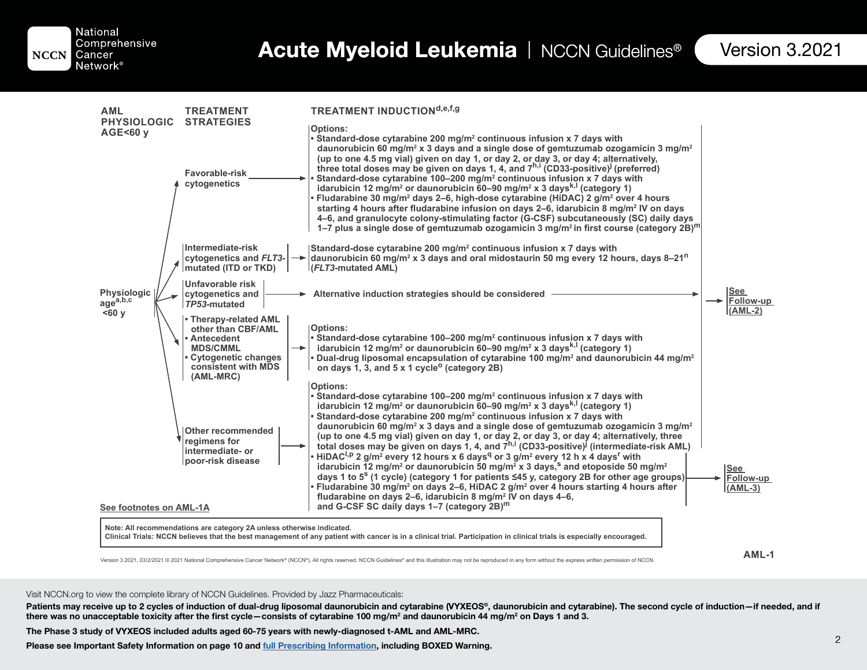National Comprehensive **NCCN** Cancer Network<sup>®</sup>

Table of Contents

| <b>AML</b>                                                          | <b>TREATMENT</b>                                                                                                                                                | <b>TREATMENT INDUCTIONd,e,f,g</b>                                                                                                                                                                                                                                                                                                                                                                                                                                                                                                                                                                                                                                                                                                                                                                                                                                                                                                                                                                                                    |                               |
|---------------------------------------------------------------------|-----------------------------------------------------------------------------------------------------------------------------------------------------------------|--------------------------------------------------------------------------------------------------------------------------------------------------------------------------------------------------------------------------------------------------------------------------------------------------------------------------------------------------------------------------------------------------------------------------------------------------------------------------------------------------------------------------------------------------------------------------------------------------------------------------------------------------------------------------------------------------------------------------------------------------------------------------------------------------------------------------------------------------------------------------------------------------------------------------------------------------------------------------------------------------------------------------------------|-------------------------------|
| <b>PHYSIOLOGIC</b><br>AGE<60 y<br>Physiologic<br>agea,b,c<br>$60 y$ | <b>STRATEGIES</b><br>Favorable-risk<br>cytogenetics                                                                                                             | <b>Options:</b><br>• Standard-dose cytarabine 200 mg/m <sup>2</sup> continuous infusion x 7 days with<br>daunorubicin 60 mg/m <sup>2</sup> x 3 days and a single dose of gemtuzumab ozogamicin 3 mg/m <sup>2</sup><br>(up to one 4.5 mg vial) given on day 1, or day 2, or day 3, or day 4; alternatively,<br>three total doses may be given on days 1, 4, and 7h,i (CD33-positive) (preferred)<br>Standard-dose cytarabine 100-200 mg/m <sup>2</sup> continuous infusion x 7 days with<br>idarubicin 12 mg/m <sup>2</sup> or daunorubicin 60-90 mg/m <sup>2</sup> x 3 days <sup>k, 1</sup> (category 1)<br>Fludarabine 30 mg/m <sup>2</sup> days 2–6, high-dose cytarabine (HiDAC) 2 g/m <sup>2</sup> over 4 hours<br>starting 4 hours after fludarabine infusion on days 2–6, idarubicin 8 mg/m <sup>2</sup> IV on days<br>4-6, and granulocyte colony-stimulating factor (G-CSF) subcutaneously (SC) daily days<br>1–7 plus a single dose of gemtuzumab ozogamicin 3 mg/m <sup>2</sup> in first course (category 2B) <sup>m</sup> |                               |
|                                                                     | Intermediate-risk<br>cytogenetics and FLT3-<br>$\rightarrow$<br>mutated (ITD or TKD)                                                                            | Standard-dose cytarabine 200 mg/m <sup>2</sup> continuous infusion x 7 days with<br>daunorubicin 60 mg/m <sup>2</sup> x 3 days and oral midostaurin 50 mg every 12 hours, days 8–21 <sup>n</sup><br>(FLT3-mutated AML)                                                                                                                                                                                                                                                                                                                                                                                                                                                                                                                                                                                                                                                                                                                                                                                                               |                               |
|                                                                     | Unfavorable risk<br>cytogenetics and<br>TP53-mutated                                                                                                            | Alternative induction strategies should be considered                                                                                                                                                                                                                                                                                                                                                                                                                                                                                                                                                                                                                                                                                                                                                                                                                                                                                                                                                                                | See<br>Follow-up<br>$(AML-2)$ |
|                                                                     | • Therapy-related AML<br>other than CBF/AML<br>Antecedent<br><b>MDS/CMML</b><br>$\rightarrow$<br><b>Cytogenetic changes</b><br>consistent with MDS<br>(AML-MRC) | <b>Options:</b><br>• Standard-dose cytarabine 100–200 mg/m <sup>2</sup> continuous infusion x 7 days with<br>idarubicin 12 mg/m <sup>2</sup> or daunorubicin $60-90$ mg/m <sup>2</sup> x 3 days <sup>k,1</sup> (category 1)<br>. Dual-drug liposomal encapsulation of cytarabine 100 mg/m <sup>2</sup> and daunorubicin 44 mg/m <sup>2</sup><br>on days 1, 3, and 5 x 1 cycle <sup>o</sup> (category 2B)                                                                                                                                                                                                                                                                                                                                                                                                                                                                                                                                                                                                                             |                               |
|                                                                     | <b>Other recommended</b><br>regimens for<br>intermediate- or                                                                                                    | <b>Options:</b><br>• Standard-dose cytarabine 100–200 mg/m <sup>2</sup> continuous infusion x 7 days with<br>idarubicin 12 mg/m <sup>2</sup> or daunorubicin $60-90$ mg/m <sup>2</sup> x 3 days <sup>k,l</sup> (category 1)<br>Standard-dose cytarabine 200 mg/m <sup>2</sup> continuous infusion x 7 days with<br>daunorubicin 60 mg/m <sup>2</sup> x 3 days and a single dose of gemtuzumab ozogamicin 3 mg/m <sup>2</sup><br>(up to one 4.5 mg vial) given on day 1, or day 2, or day 3, or day 4; alternatively, three<br>total doses may be given on days 1, 4, and $7^{h,i}$ (CD33-positive) <sup><math>j</math></sup> (intermediate-risk AML)<br>• HiDAC <sup>I,p</sup> 2 g/m <sup>2</sup> every 12 hours x 6 days <sup>q</sup> or 3 g/m <sup>2</sup> every 12 h x 4 days <sup>r</sup> with                                                                                                                                                                                                                                   |                               |
| See footnotes on AML-1A                                             | poor-risk disease                                                                                                                                               | idarubicin 12 mg/m <sup>2</sup> or daunorubicin 50 mg/m <sup>2</sup> x 3 days, <sup>s</sup> and etoposide 50 mg/m <sup>2</sup><br>days 1 to 5 <sup>s</sup> (1 cycle) (category 1 for patients $\leq$ 45 y, category 2B for other age groups)<br>• Fludarabine 30 mg/m² on days 2–6, HiDAC 2 g/m² over 4 hours starting 4 hours after<br>fludarabine on days 2–6, idarubicin 8 mg/m <sup>2</sup> IV on days 4–6,<br>and G-CSF SC daily days 1–7 (category 2B) <sup>m</sup>                                                                                                                                                                                                                                                                                                                                                                                                                                                                                                                                                            | See<br>Follow-up<br>$(AML-3)$ |
|                                                                     | Note: All recommendations are category 2A unless otherwise indicated.                                                                                           | Clinical Trials: NCCN believes that the best management of any patient with cancer is in a clinical trial. Participation in clinical trials is especially encouraged.                                                                                                                                                                                                                                                                                                                                                                                                                                                                                                                                                                                                                                                                                                                                                                                                                                                                |                               |
|                                                                     |                                                                                                                                                                 |                                                                                                                                                                                                                                                                                                                                                                                                                                                                                                                                                                                                                                                                                                                                                                                                                                                                                                                                                                                                                                      | $AML-1$                       |

Version 3.2021, 03/2/2021 © 2021 National Comprehensive Cancer Network® (NCCN®), All rights reserved. NCCN Guidelines® and this illustration may not be reproduced in any form without the express written permission of NCCN.

#### Visit NCCN.org to view the complete library of NCCN Guidelines. Provided by Jazz Pharmaceuticals:

Patients may receive up to 2 cycles of induction of dual-drug liposomal daunorubicin and cytarabine (VYXEOS®, daunorubicin and cytarabine). The second cycle of induction—if needed, and if there was no unacceptable toxicity after the first cycle—consists of cytarabine 100 mg/m² and daunorubicin 44 mg/m² on Days 1 and 3.

The Phase 3 study of VYXEOS included adults aged 60-75 years with newly-diagnosed t-AML and AML-MRC.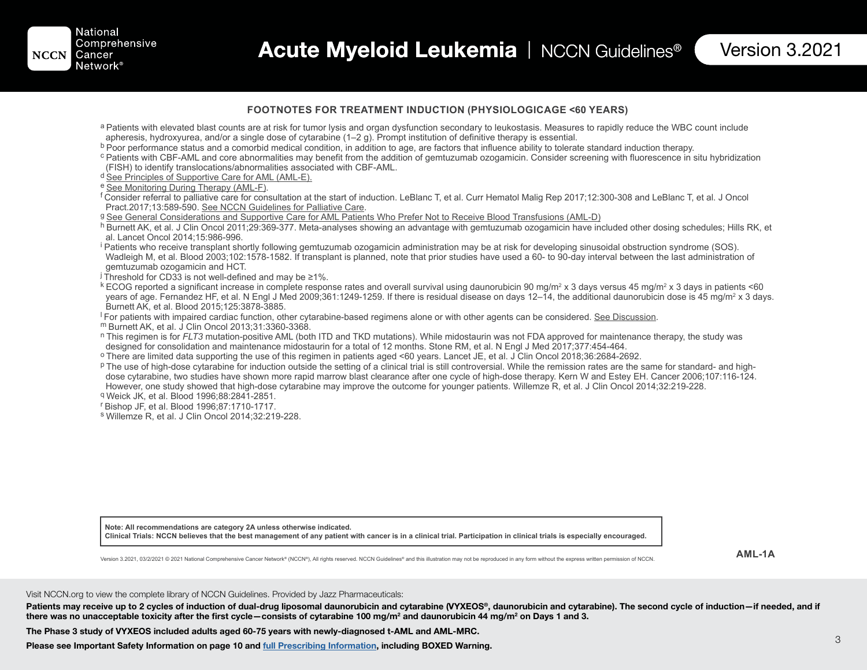#### **FOOTNOTES FOR TREATMENT INDUCTION (PHYSIOLOGICAGE <60 YEARS)**

- a Patients with elevated blast counts are at risk for tumor lysis and organ dysfunction secondary to leukostasis. Measures to rapidly reduce the WBC count include apheresis, hydroxyurea, and/or a single dose of cytarabine (1–2 g). Prompt institution of definitive therapy is essential.<br><sup>b</sup> Poor performance status and a comorbid medical condition, in addition to age, are factors that
- 
- c Patients with CBF-AML and core abnormalities may benefit from the addition of gemtuzumab ozogamicin. Consider screening with fluorescence in situ hybridization (FISH) to identify translocations/abnormalities associated with CBF-AML.
- <sup>d</sup> See Principles of Supportive Care for AML (AML-E).<br>e See Monitoring During Therapy (AML-F).

 $^{\mathsf{f}}$ Consider referral to palliative care for consultation at the start of induction. LeBlanc T, et al. Curr Hematol Malig Rep 2017;12:300-308 and LeBlanc T, et al. J Oncol<br>Pract.2017;13:589-590. See NCCN Guidelines f

<sup>g</sup> See General Considerations and Supportive Care for AML Patients Who Prefer Not to Receive Blood Transfusions (AML-D)

h Burnett AK, et al. J Clin Oncol 2011;29:369-377. Meta-analyses showing an advantage with gemtuzumab ozogamicin have included other dosing schedules; Hills RK, et al. Lancet Oncol 2014;15:986-996.

<sup>i</sup> Patients who receive transplant shortly following gemtuzumab ozogamicin administration may be at risk for developing sinusoidal obstruction syndrome (SOS). Wadleigh M, et al. Blood 2003;102:1578-1582. If transplant is planned, note that prior studies have used a 60- to 90-day interval between the last administration of gemtuzumab ozogamicin and HCT.

 $\frac{1}{2}$  Threshold for CD33 is not well-defined and may be  $\geq 1\%$ .

 $^{\text{k}}$  ECOG reported a significant increase in complete response rates and overall survival using daunorubicin 90 mg/m² x 3 days versus 45 mg/m² x 3 days in patients <60 years of age. Fernandez HF, et al. N Engl J Med 2009;361:1249-1259. If there is residual disease on days 12–14, the additional daunorubicin dose is 45 mg/m² x 3 days. Burnett AK, et al. Blood 2015;125:3878-3885.<br><sup>I</sup> For patients with impaired cardiac function, other cytarabine-based regimens alone or with other agents can be considered. <u>See Discussion</u>.

m Burnett AK, et al. J Clin Oncol 2013;31:3360-3368.<br>In This regimen is for *FLT3* mutation-positive AML (both ITD and TKD mutations). While midostaurin was not FDA approved for maintenance therapy, the study was not forma

<sup>o</sup> There are limited data supporting the use of this regimen in patients aged <60 years. Lancet JE, et al. J Clin Oncol 2018;36:2684-2692.

p The use of high-dose cytarabine for induction outside the setting of a clinical trial is still controversial. While the remission rates are the same for standard- and highdose cytarabine, two studies have shown more rapid marrow blast clearance after one cycle of high-dose therapy. Kern W and Estey EH. Cancer 2006;107:116-124. However, one study showed that high-dose cytarabine may improve the outcome for younger patients. Willemze R, et al. J Clin Oncol 2014;32:219-228. q Weick JK, et al. Blood 1996;88:2841-2851.

r Bishop JF, et al. Blood 1996;87:1710-1717.

s Willemze R, et al. J Clin Oncol 2014;32:219-228.

**Note: All recommendations are category 2A unless otherwise indicated.** Clinical Trials: NCCN believes that the best management of any patient with cancer is in a clinical trial. Participation in clinical trials is especially encouraged.

**AML-1A**

Version 3.2021, 03/2/2021 © 2021 National Comprehensive Cancer Network® (NCCN®), All rights reserved. NCCN Guidelines® and this illustration may not be reproduced in any form without the express written permission of NCCN.

#### Visit NCCN.org to view the complete library of NCCN Guidelines. Provided by Jazz Pharmaceuticals:

Patients may receive up to 2 cycles of induction of dual-drug liposomal daunorubicin and cytarabine (VYXEOS®, daunorubicin and cytarabine). The second cycle of induction—if needed, and if there was no unacceptable toxicity after the first cycle—consists of cytarabine 100 mg/m² and daunorubicin 44 mg/m² on Days 1 and 3.

The Phase 3 study of VYXEOS included adults aged 60-75 years with newly-diagnosed t-AML and AML-MRC.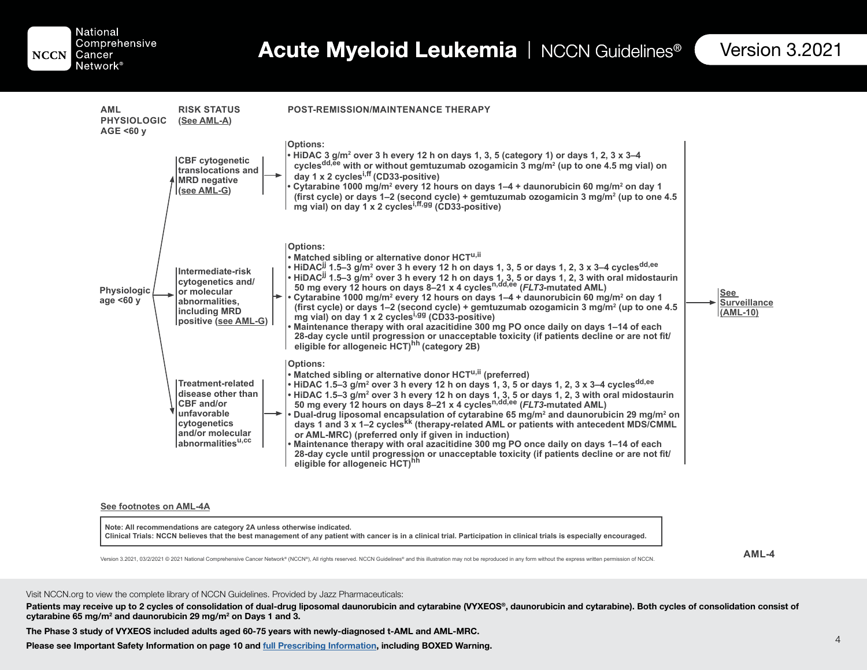National Comprehensive **NCCN** Cancer Network<sup>®</sup>

Table of Contents



#### **See footnotes on AML-4A**

**Note: All recommendations are category 2A unless otherwise indicated. Clinical Trials: NCCN believes that the best management of any patient with cancer is in a clinical trial. Participation in clinical trials is especially encouraged.**

**AML-4**

Version 3.2021, 03/2/2021 © 2021 National Comprehensive Cancer Network® (NCCN®). All rights reserved. NCCN Guidelines® and this illustration may not be reproduced in any form without the express written permission of NCCN.

#### Visit NCCN.org to view the complete library of NCCN Guidelines. Provided by Jazz Pharmaceuticals:

Patients may receive up to 2 cycles of consolidation of dual-drug liposomal daunorubicin and cytarabine (VYXEOS®, daunorubicin and cytarabine). Both cycles of consolidation consist of cytarabine 65 mg/m<sup>2</sup> and daunorubicin 29 mg/m<sup>2</sup> on Days 1 and 3.

The Phase 3 study of VYXEOS included adults aged 60-75 years with newly-diagnosed t-AML and AML-MRC.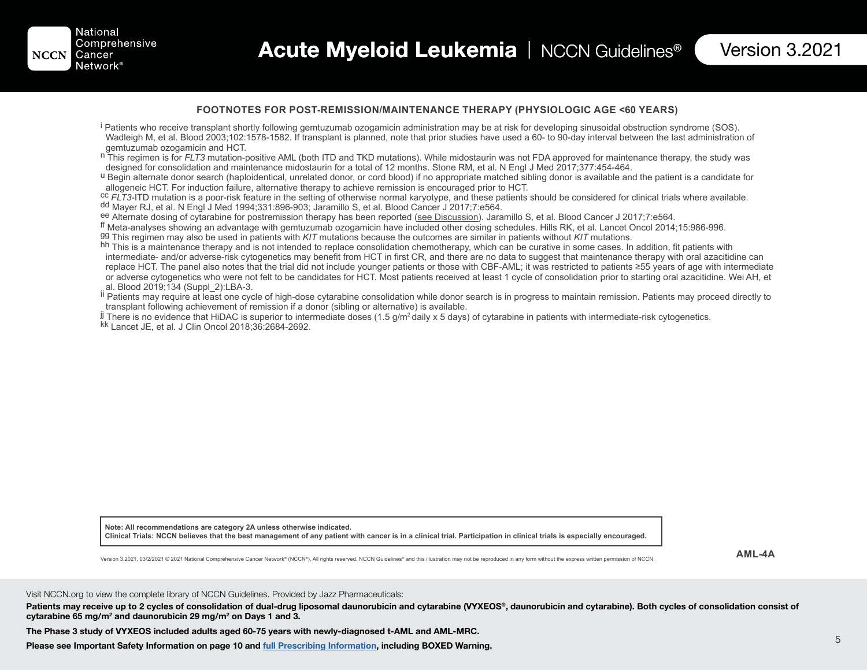#### **FOOTNOTES FOR POST-REMISSION/MAINTENANCE THERAPY (PHYSIOLOGIC AGE <60 YEARS)**

- <sup>i</sup> Patients who receive transplant shortly following gemtuzumab ozogamicin administration may be at risk for developing sinusoidal obstruction syndrome (SOS). Wadleigh M, et al. Blood 2003;102:1578-1582. If transplant is planned, note that prior studies have used a 60- to 90-day interval between the last administration of gemtuzumab ozogamicin and HCT.
- n This regimen is for *FLT3* mutation-positive AML (both ITD and TKD mutations). While midostaurin was not FDA approved for maintenance therapy, the study was designed for consolidation and maintenance midostaurin for a to

U Begin alternate donor search (haploidentical, unrelated donor, or cord blood) if no appropriate matched sibling donor is available and the patient is a candidate for allogeneic HCT. For induction failure, alternative therapy to achieve remission is encouraged prior to HCT.

<sup>cc</sup> *FLT3*-ITD mutation is a poor-risk feature in the setting of otherwise normal karyotype, and these patients should be considered for clinical trials where available.<br><sup>dd</sup> Mayer RJ, et al. N Engl J Med 1994;331:896-903

<sup>ee</sup> Alternate dosing of cytarabine for postremission therapy has been reported (<u>see Discussion</u>). Jaramillo S, et al. Blood Cancer J 2017;7:e564.<br><sup>ff</sup> Meta-analyses showing an advantage with gemtuzumab ozogamicin have in

gg This regimen may also be used in patients with *KIT* mutations because the outcomes are similar in patients without *KIT* mutations.

hh This is a maintenance therapy and is not intended to replace consolidation chemotherapy, which can be curative in some cases. In addition, fit patients with intermediate- and/or adverse-risk cytogenetics may benefit from HCT in first CR, and there are no data to suggest that maintenance therapy with oral azacitidine can replace HCT. The panel also notes that the trial did not include younger patients or those with CBF-AML; it was restricted to patients ≥55 years of age with intermediate or adverse cytogenetics who were not felt to be candidates for HCT. Most patients received at least 1 cycle of consolidation prior to starting oral azacitidine. Wei AH, et al. Blood 2019;134 (Suppl\_2):LBA-3.

III Patients may require at least one cycle of high-dose cytarabine consolidation while donor search is in progress to maintain remission. Patients may proceed directly to transplant following achievement of remission if a donor (sibling or alternative) is available.

 $^{\text{j} \text{j}}$  There is no evidence that HiDAC is superior to intermediate doses (1.5 g/m² daily x 5 days) of cytarabine in patients with intermediate-risk cytogenetics.<br><sup>kk</sup> Lancet JE, et al. J Clin Oncol 2018:36:2684-2692.

**Note: All recommendations are category 2A unless otherwise indicated.** Clinical Trials: NCCN believes that the best management of any patient with cancer is in a clinical trial. Participation in clinical trials is especially encouraged.

**AML-4A**

Version 3.2021, 03/2/2021 © 2021 National Comprehensive Cancer Network® (NCCN®), All rights reserved. NCCN Guidelines® and this illustration may not be reproduced in any form without the express written permission of NCCN.

Visit NCCN.org to view the complete library of NCCN Guidelines. Provided by Jazz Pharmaceuticals:

Patients may receive up to 2 cycles of consolidation of dual-drug liposomal daunorubicin and cytarabine (VYXEOS®, daunorubicin and cytarabine). Both cycles of consolidation consist of cytarabine 65 mg/m<sup>2</sup> and daunorubicin 29 mg/m<sup>2</sup> on Days 1 and 3.

The Phase 3 study of VYXEOS included adults aged 60-75 years with newly-diagnosed t-AML and AML-MRC.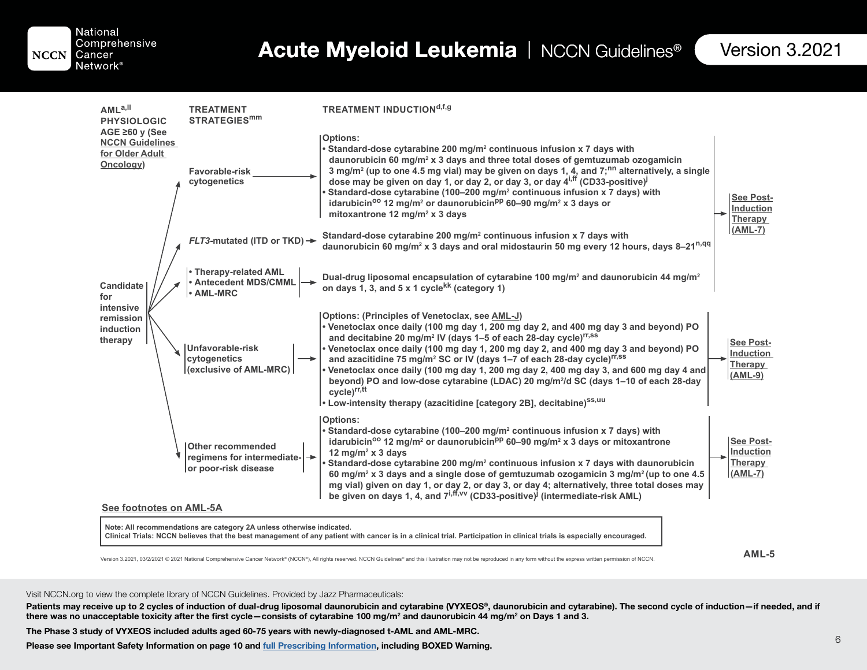National Comprehensive **NCCN** Cancer

Network<sup>®</sup>

Table of Contents

| AML <sup>a,II</sup><br><b>PHYSIOLOGIC</b>                                      | <b>TREATMENT</b><br><b>STRATEGIES<sup>mm</sup></b>                             | <b>TREATMENT INDUCTIONd,f,g</b>                                                                                                                                                                                                                                                                                                                                                                                                                                                                                                                                                                                                                                                                                                        |                                                              |
|--------------------------------------------------------------------------------|--------------------------------------------------------------------------------|----------------------------------------------------------------------------------------------------------------------------------------------------------------------------------------------------------------------------------------------------------------------------------------------------------------------------------------------------------------------------------------------------------------------------------------------------------------------------------------------------------------------------------------------------------------------------------------------------------------------------------------------------------------------------------------------------------------------------------------|--------------------------------------------------------------|
| $AGE \geq 60$ y (See<br><b>NCCN Guidelines</b><br>for Older Adult<br>Oncology) | <b>Favorable-risk</b><br>cytogenetics                                          | <b>Options:</b><br>• Standard-dose cytarabine 200 mg/m <sup>2</sup> continuous infusion x 7 days with<br>daunorubicin 60 mg/m <sup>2</sup> x 3 days and three total doses of gemtuzumab ozogamicin<br>3 mg/m <sup>2</sup> (up to one 4.5 mg vial) may be given on days 1, 4, and 7; <sup>nn</sup> alternatively, a single<br>dose may be given on day 1, or day 2, or day 3, or day $4^{i,ff}$ (CD33-positive) <sup>j</sup><br>Standard-dose cytarabine (100-200 mg/m <sup>2</sup> continuous infusion x 7 days) with<br>idarubicin <sup>oo</sup> 12 mg/m <sup>2</sup> or daunorubicin <sup>pp</sup> 60–90 mg/m <sup>2</sup> x 3 days or<br>mitoxantrone 12 mg/m <sup>2</sup> x 3 days                                                 | <b>See Post-</b><br><b>Induction</b><br>Therapy              |
| <b>Candidate</b><br>for<br>intensive<br>remission<br>induction<br>therapy      | $FLT3$ -mutated (ITD or TKD) $\rightarrow$                                     | Standard-dose cytarabine 200 mg/m <sup>2</sup> continuous infusion x 7 days with<br>daunorubicin 60 mg/m <sup>2</sup> x 3 days and oral midostaurin 50 mg every 12 hours, days 8-21 <sup>n,qq</sup>                                                                                                                                                                                                                                                                                                                                                                                                                                                                                                                                    | (AML-7)                                                      |
|                                                                                | <b>• Therapy-related AML</b><br>• Antecedent MDS/CMML<br>$\cdot$ AML-MRC       | Dual-drug liposomal encapsulation of cytarabine 100 mg/m <sup>2</sup> and daunorubicin 44 mg/m <sup>2</sup><br>on days 1, 3, and 5 x 1 cycle <sup>kk</sup> (category 1)                                                                                                                                                                                                                                                                                                                                                                                                                                                                                                                                                                |                                                              |
|                                                                                | Unfavorable-risk<br>cytogenetics<br>(exclusive of AML-MRC)                     | Options: (Principles of Venetoclax, see AML-J)<br>. Venetoclax once daily (100 mg day 1, 200 mg day 2, and 400 mg day 3 and beyond) PO<br>and decitabine 20 mg/m <sup>2</sup> IV (days 1–5 of each 28-day cycle) <sup>rr,ss</sup><br>• Venetoclax once daily (100 mg day 1, 200 mg day 2, and 400 mg day 3 and beyond) PO<br>and azacitidine 75 mg/m <sup>2</sup> SC or IV (days 1-7 of each 28-day cycle) <sup>rr,ss</sup><br>Venetoclax once daily (100 mg day 1, 200 mg day 2, 400 mg day 3, and 600 mg day 4 and<br>beyond) PO and low-dose cytarabine (LDAC) 20 mg/m <sup>2</sup> /d SC (days 1-10 of each 28-day<br>cycle) <sup>rr,tt</sup><br>• Low-intensity therapy (azacitidine [category 2B], decitabine) <sup>ss, uu</sup> | <b>See Post-</b><br><b>Induction</b><br>Therapy<br>$(AML-9)$ |
| See footnotes on AML-5A                                                        | <b>Other recommended</b><br>regimens for intermediate-<br>or poor-risk disease | <b>Options:</b><br>• Standard-dose cytarabine (100–200 mg/m <sup>2</sup> continuous infusion x 7 days) with<br>idarubicin <sup>oo</sup> 12 mg/m <sup>2</sup> or daunorubicin <sup>pp</sup> 60-90 mg/m <sup>2</sup> x 3 days or mitoxantrone<br>12 mg/m <sup>2</sup> x 3 days<br>Standard-dose cytarabine 200 mg/m <sup>2</sup> continuous infusion x 7 days with daunorubicin<br>60 mg/m <sup>2</sup> x 3 days and a single dose of gemtuzumab ozogamicin 3 mg/m <sup>2</sup> (up to one 4.5<br>mg vial) given on day 1, or day 2, or day 3, or day 4; alternatively, three total doses may<br>be given on days 1, 4, and 7 <sup>i, ff, vv</sup> (CD33-positive) <sup>j</sup> (intermediate-risk AML)                                  | See Post-<br><b>Induction</b><br>Therapy<br>$(AML-7)$        |
|                                                                                | Note: All recommendations are category 2A unless otherwise indicated.          | Clinical Trials: NCCN believes that the best management of any patient with cancer is in a clinical trial. Participation in clinical trials is especially encouraged.                                                                                                                                                                                                                                                                                                                                                                                                                                                                                                                                                                  |                                                              |

**AML-5**

Version 3.2021, 03/2/2021 © 2021 National Comprehensive Cancer Network® (NCCN®), All rights reserved. NCCN Guidelines® and this illustration may not be reproduced in any form without the express written permission of NCCN.

#### Visit NCCN.org to view the complete library of NCCN Guidelines. Provided by Jazz Pharmaceuticals:

Patients may receive up to 2 cycles of induction of dual-drug liposomal daunorubicin and cytarabine (VYXEOS®, daunorubicin and cytarabine). The second cycle of induction—if needed, and if there was no unacceptable toxicity after the first cycle―consists of cytarabine 100 mg/m² and daunorubicin 44 mg/m² on Days 1 and 3.

The Phase 3 study of VYXEOS included adults aged 60-75 years with newly-diagnosed t-AML and AML-MRC.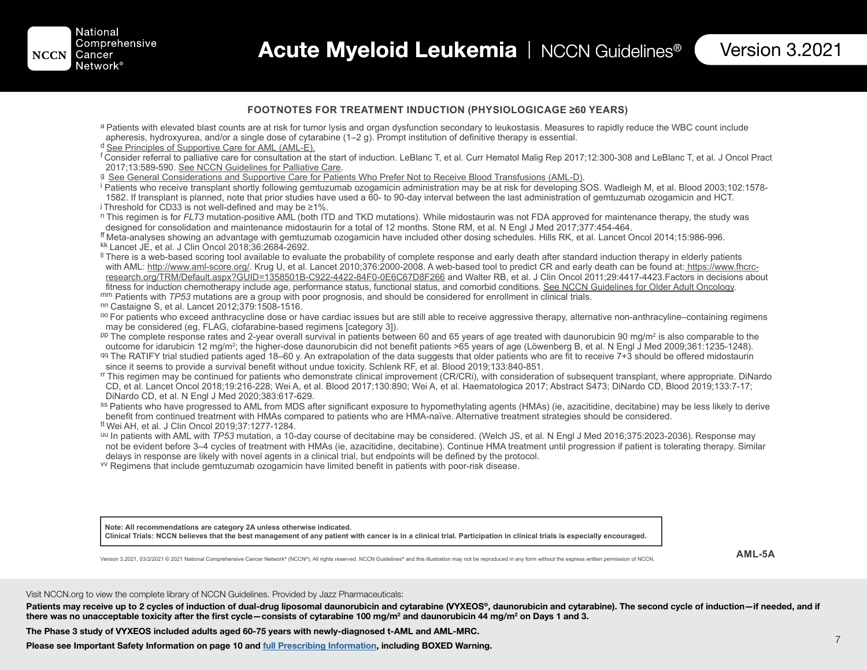#### **FOOTNOTES FOR TREATMENT INDUCTION (PHYSIOLOGICAGE ≥60 YEARS)**

- a Patients with elevated blast counts are at risk for tumor lysis and organ dysfunction secondary to leukostasis. Measures to rapidly reduce the WBC count include apheresis, hydroxyurea, and/or a single dose of cytarabine (1–2 g). Prompt institution of definitive therapy is essential.
- d See Principles of Supportive Care for AML (AML-E).
- <sup>f</sup> Consider referral to palliative care for consultation at the start of induction. LeBlanc T, et al. Curr Hematol Malig Rep 2017;12:300-308 and LeBlanc T, et al. J Oncol Pract<br>2017:13:589-590. See NCCN Guidelines for Pal
- 
- <sup>g</sup> See General Considerations and Supportive Care for Patients Who Prefer Not to Receive Blood Transfusions (AML-D).<br><sup>i</sup> Patients who receive transplant shortly following gemtuzumab ozogamicin administration may be at ris 1582. If transplant is planned, note that prior studies have used a 60- to 90-day interval between the last administration of gemtuzumab ozogamicin and HCT.  $\frac{1}{2}$  Threshold for CD33 is not well-defined and may be  $\geq 1\%$ .
- n This regimen is for *FLT3* mutation-positive AML (both ITD and TKD mutations). While midostaurin was not FDA approved for maintenance therapy, the study was designed for consolidation and maintenance midostaurin for a to
- ff Meta-analyses showing an advantage with gemtuzumab ozogamicin have included other dosing schedules. Hills RK, et al. Lancet Oncol 2014;15:986-996. kk Lancet JE, et al. J Clin Oncol 2018;36:2684-2692.
- If There is a web-based scoring tool available to evaluate the probability of complete response and early death after standard induction therapy in elderly patients with AML: http://www.aml-score.org/. Krug U, et al. Lancet 2010;376:2000-2008. A web-based tool to predict CR and early death can be found at: https://www.fhcrcresearch.org/TRM/Default.aspx?GUID=1358501B-C922-4422-84F0-0E6C67D8F266 and Walter RB, et al. J Clin Oncol 2011;29:4417-4423.Factors in decisions about fitness for induction chemotherapy include age, performance status, fu mm Patients with *TP53* mutations are a group with poor prognosis, and should be considered for enrollment in clinical trials.<br><sup>nn</sup> Castaigne S, et al. Lancet 2012;379:1508-1516.<br><sup>oo</sup> For patients who exceed anthracycline
- 
- may be considered (eg, FLAG, clofarabine-based regimens [category 3]).
- $P<sup>p</sup>$  The complete response rates and 2-year overall survival in patients between 60 and 65 years of age treated with daunorubicin 90 mg/m<sup>2</sup> is also comparable to the outcome for idarubicin 12 mg/m2 ; the higher-dose daunorubicin did not benefit patients >65 years of age (Löwenberg B, et al. N Engl J Med 2009;361:1235-1248). qq The RATIFY trial studied patients aged 18–60 y. An extrapolation of the data suggests that older patients who are fit to receive 7+3 should be offered midostaurin
- since it seems to provide a survival benefit without undue toxicity. Schlenk RF, et al. Blood 2019;133:840-851.
- rr This regimen may be continued for patients who demonstrate clinical improvement (CR/CRi), with consideration of subsequent transplant, where appropriate. DiNardo CD, et al. Lancet Oncol 2018;19:216-228; Wei A, et al. Blood 2017;130:890; Wei A, et al. Haematologica 2017; Abstract S473; DiNardo CD, Blood 2019;133:7-17; DiNardo CD, et al. N Engl J Med 2020;383:617-629.
- ss Patients who have progressed to AML from MDS after significant exposure to hypomethylating agents (HMAs) (ie, azacitidine, decitabine) may be less likely to derive benefit from continued treatment with HMAs compared to patients who are HMA-naïve. Alternative treatment strategies should be considered.
- tt Wei AH, et al. J Clin Oncol 2019;37:1277-1284.
- uu In patients with AML with *TP53* mutation, a 10-day course of decitabine may be considered. (Welch JS, et al. N Engl J Med 2016;375:2023-2036). Response may not be evident before 3–4 cycles of treatment with HMAs (ie, azacitidine, decitabine). Continue HMA treatment until progression if patient is tolerating therapy. Similar delays in response are likely with novel agents in a clinical trial, but endpoints will be defined by the protocol.
- vv Regimens that include gemtuzumab ozogamicin have limited benefit in patients with poor-risk disease.

**Note: All recommendations are category 2A unless otherwise indicated.** Clinical Trials: NCCN believes that the best management of any patient with cancer is in a clinical trial. Participation in clinical trials is especially encouraged.

Version 3.2021, 03/2/2021 © 2021 National Comprehensive Cancer Network® (NCCN®), All rights reserved. NCCN Guidelines® and this illustration may not be reproduced in any form without the express written permission of NCCN.

**AML-5A**

Visit NCCN.org to view the complete library of NCCN Guidelines. Provided by Jazz Pharmaceuticals:

Patients may receive up to 2 cycles of induction of dual-drug liposomal daunorubicin and cytarabine (VYXEOS®, daunorubicin and cytarabine). The second cycle of induction—if needed, and if there was no unacceptable toxicity after the first cycle―consists of cytarabine 100 mg/m² and daunorubicin 44 mg/m² on Days 1 and 3.

The Phase 3 study of VYXEOS included adults aged 60-75 years with newly-diagnosed t-AML and AML-MRC.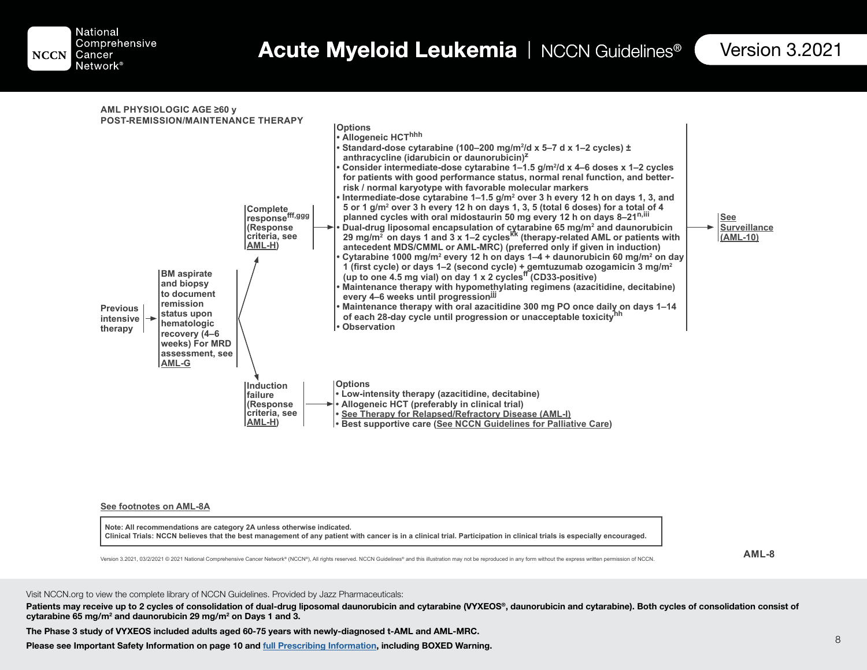

**AML PHYSIOLOGIC AGE ≥60 y POST-REMISSION/MAINTENANCE THERAPY Options • Allogeneic HCThhh** • Standard-dose cytarabine (100–200 mg/m²/d x 5–7 d x 1–2 cycles) ± anthracycline (idarubicin or daunorubicin)<sup>2</sup> • Consider intermediate-dose cytarabine 1–1.5 g/m²/d x 4–6 doses x 1–2 cycles **for patients with good performance status, normal renal function, and betterrisk / normal karyotype with favorable molecular markers** • Intermediate-dose cytarabine 1–1.5 g/m² over 3 h every 12 h on days 1, 3, and 5 or 1 g/m² over 3 h every 12 h on days 1, 3, 5 (total 6 doses) for a total of 4 planned cycles with oral midostaurin 50 mg every 12 h on days 8–21<sup>n,iii</sup> • Dual-drug liposomal encapsulation of cytarabine 65 mg/m<sup>2</sup> and daunorubicin<br> 29 mg/m<sup>2</sup> on days 1 and 3 x 1–2 cycles<sup>kk</sup> (therapy-related AML or patients with antecedent MDS/CMML or AML-MRC) (preferred only if given in induction) • Cytarabine 1000 mg/m² every 12 h on days 1–4 + daunorubicin 60 mg/m² on day 1 (first cycle) or days 1–2 (second cycle) + gemtuzumab ozogamicin 3 mg/m<sup>2</sup><br>(up to one 4.5 mg vial) on day 1 x 2 cycles<sup>ff</sup> (CD33-positive) **Maintenance therapy with hypomethylating regimens (azacitidine, decitabine) every 4–6 weeks until progressionjjj • Maintenance therapy with oral azacitidine 300 mg PO once daily on days 1–14**  of each 28-day cycle until progression or unacceptable toxicity<sup>nh</sup> **• Observation** Complete<br>response<sup>fff,ggg</sup> **(Response criteria, see AML-H Induction failure (Response criteria, see AML-H BM aspirate and biopsy to document remission status upon hematologic recovery (4–6**  weeks) For MRD **assessment, see AML-G Options • Low-intensity therapy (azacitidine, decitabine) • Allogeneic HCT (preferably in clinical trial) See Therapy for Relapsed/Refractory Disease (AML-I) • Best supportive care (See NCCN Guidelines for Palliative Care See Surveillance**  (AML-10) **Previous intensive therapy**

#### **See footnotes on AML-8A**

**Note: All recommendations are category 2A unless otherwise indicated. Clinical Trials: NCCN believes that the best management of any patient with cancer is in a clinical trial. Participation in clinical trials is especially encouraged.**

**\$0/**

Version 3.2021, 03/2/2021 © 2021 National Comprehensive Cancer Network® (NCCN®). All rights reserved. NCCN Guidelines® and this illustration may not be reproduced in any form without the express written permission of NCCN.

#### Visit NCCN.org to view the complete library of NCCN Guidelines. Provided by Jazz Pharmaceuticals:

Patients may receive up to 2 cycles of consolidation of dual-drug liposomal daunorubicin and cytarabine (VYXEOS®, daunorubicin and cytarabine). Both cycles of consolidation consist of cytarabine 65 mg/m<sup>2</sup> and daunorubicin 29 mg/m<sup>2</sup> on Days 1 and 3.

The Phase 3 study of VYXEOS included adults aged 60-75 years with newly-diagnosed t-AML and AML-MRC.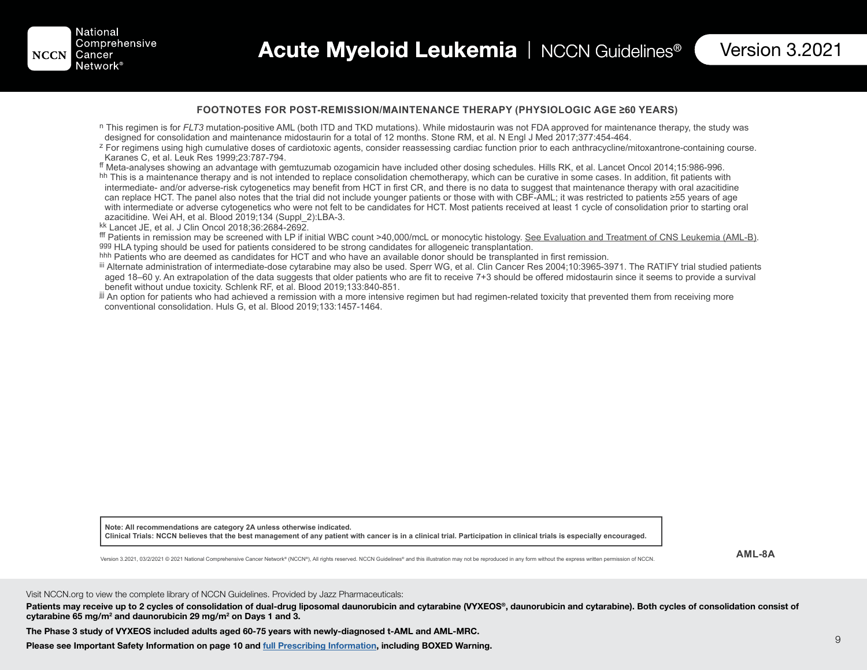#### **FOOTNOTES FOR POST-REMISSION/MAINTENANCE THERAPY (PHYSIOLOGIC AGE ≥60 YEARS)**

- n This regimen is for *FLT3* mutation-positive AML (both ITD and TKD mutations). While midostaurin was not FDA approved for maintenance therapy, the study was designed for consolidation and maintenance midostaurin for a to
- <sup>z</sup> For regimens using high cumulative doses of cardiotoxic agents, consider reassessing cardiac function prior to each anthracycline/mitoxantrone-containing course. Karanes C, et al. Leuk Res 1999;23:787-794.

ff Meta-analyses showing an advantage with gemtuzumab ozogamicin have included other dosing schedules. Hills RK, et al. Lancet Oncol 2014;15:986-996.

hh This is a maintenance therapy and is not intended to replace consolidation chemotherapy, which can be curative in some cases. In addition, fit patients with intermediate- and/or adverse-risk cytogenetics may benefit from HCT in first CR, and there is no data to suggest that maintenance therapy with oral azacitidine can replace HCT. The panel also notes that the trial did not include younger patients or those with with CBF-AML; it was restricted to patients ≥55 years of age with intermediate or adverse cytogenetics who were not felt to be candidates for HCT. Most patients received at least 1 cycle of consolidation prior to starting oral azacitidine. Wei AH, et al. Blood 2019;134 (Suppl\_2):LBA-3.

kk Lancet JE, et al. J Clin Oncol 2018;36:2684-2692.

fff Patients in remission may be screened with LP if initial WBC count >40,000/mcL or monocytic histology. <u>See Evaluation and Treatment of CNS Leukemia (AML-B)</u>.<br><sup>ggg</sup> HLA typing should be used for patients considered to

hhh Patients who are deemed as candidates for HCT and who have an available donor should be transplanted in first remission.

iii Alternate administration of intermediate-dose cytarabine may also be used. Sperr WG, et al. Clin Cancer Res 2004;10:3965-3971. The RATIFY trial studied patients aged 18–60 y. An extrapolation of the data suggests that older patients who are fit to receive 7+3 should be offered midostaurin since it seems to provide a survival benefit without undue toxicity. Schlenk RF, et al. Blood 2019;133:840-851.

jjj An option for patients who had achieved a remission with a more intensive regimen but had regimen-related toxicity that prevented them from receiving more conventional consolidation. Huls G, et al. Blood 2019;133:1457-1464.

**Note: All recommendations are category 2A unless otherwise indicated. Clinical Trials: NCCN believes that the best management of any patient with cancer is in a clinical trial. Participation in clinical trials is especially encouraged.**

**\$0/\$**

Version 3.2021, 03/2/2021 © 2021 National Comprehensive Cancer Network® (NCCN®), All rights reserved. NCCN Guidelines® and this illustration may not be reproduced in any form without the express written permission of NCCN.

Visit NCCN.org to view the complete library of NCCN Guidelines. Provided by Jazz Pharmaceuticals:

Patients may receive up to 2 cycles of consolidation of dual-drug liposomal daunorubicin and cytarabine (VYXEOS®, daunorubicin and cytarabine). Both cycles of consolidation consist of cytarabine 65 mg/m<sup>2</sup> and daunorubicin 29 mg/m<sup>2</sup> on Days 1 and 3.

The Phase 3 study of VYXEOS included adults aged 60-75 years with newly-diagnosed t-AML and AML-MRC.